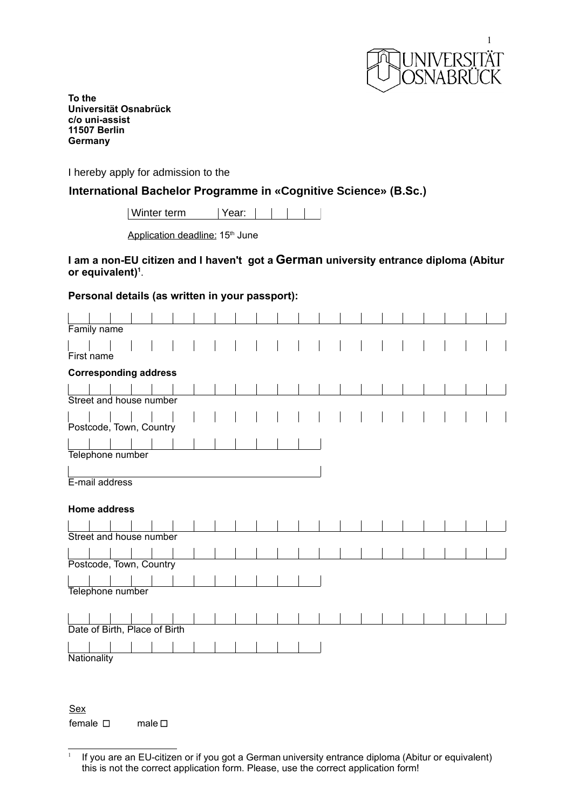

**To the Universität Osnabrück c/o uni-assist 11507 Berlin Germany**

I hereby apply for admission to the

**International Bachelor Programme in «Cognitive Science» (B.Sc.)**

| Winter term | Year: | | | |

Application deadline: 15<sup>th</sup> June

# **I am a non-EU citizen and I haven't got a German university entrance diploma (Abitur or equivalent)[1](#page-0-0)** .

# **Personal details (as written in your passport):**

| Family name                   |  |  |  |
|-------------------------------|--|--|--|
|                               |  |  |  |
| First name                    |  |  |  |
| <b>Corresponding address</b>  |  |  |  |
|                               |  |  |  |
| Street and house number       |  |  |  |
|                               |  |  |  |
| Postcode, Town, Country       |  |  |  |
|                               |  |  |  |
|                               |  |  |  |
| Telephone number              |  |  |  |
|                               |  |  |  |
| E-mail address                |  |  |  |
|                               |  |  |  |
|                               |  |  |  |
| <b>Home address</b>           |  |  |  |
|                               |  |  |  |
| Street and house number       |  |  |  |
|                               |  |  |  |
| Postcode, Town, Country       |  |  |  |
|                               |  |  |  |
|                               |  |  |  |
| Telephone number              |  |  |  |
|                               |  |  |  |
|                               |  |  |  |
| Date of Birth, Place of Birth |  |  |  |
| Nationality                   |  |  |  |

Sex female □ male □

<span id="page-0-0"></span><sup>1</sup> If you are an EU-citizen or if you got a German university entrance diploma (Abitur or equivalent) this is not the correct application form. Please, use the correct application form!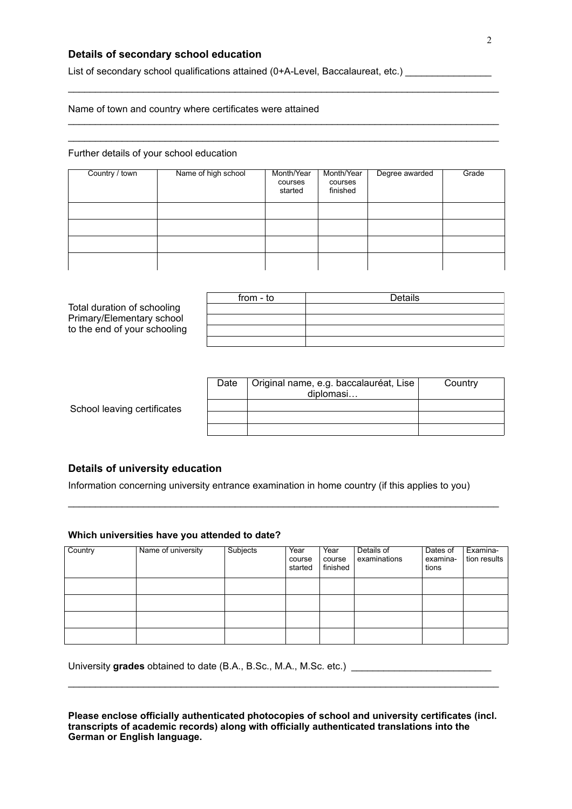# **Details of secondary school education**

List of secondary school qualifications attained (0+A-Level, Baccalaureat, etc.)

### Name of town and country where certificates were attained

#### Further details of your school education

| Country / town | Name of high school | Month/Year<br>courses<br>started | Month/Year<br>courses<br>finished | Degree awarded | Grade |
|----------------|---------------------|----------------------------------|-----------------------------------|----------------|-------|
|                |                     |                                  |                                   |                |       |
|                |                     |                                  |                                   |                |       |
|                |                     |                                  |                                   |                |       |
|                |                     |                                  |                                   |                |       |

 $\mathcal{L}_\mathcal{L} = \{ \mathcal{L}_\mathcal{L} = \{ \mathcal{L}_\mathcal{L} = \{ \mathcal{L}_\mathcal{L} = \{ \mathcal{L}_\mathcal{L} = \{ \mathcal{L}_\mathcal{L} = \{ \mathcal{L}_\mathcal{L} = \{ \mathcal{L}_\mathcal{L} = \{ \mathcal{L}_\mathcal{L} = \{ \mathcal{L}_\mathcal{L} = \{ \mathcal{L}_\mathcal{L} = \{ \mathcal{L}_\mathcal{L} = \{ \mathcal{L}_\mathcal{L} = \{ \mathcal{L}_\mathcal{L} = \{ \mathcal{L}_\mathcal{$ 

 $\mathcal{L}_\mathcal{L} = \{ \mathcal{L}_\mathcal{L} = \{ \mathcal{L}_\mathcal{L} = \{ \mathcal{L}_\mathcal{L} = \{ \mathcal{L}_\mathcal{L} = \{ \mathcal{L}_\mathcal{L} = \{ \mathcal{L}_\mathcal{L} = \{ \mathcal{L}_\mathcal{L} = \{ \mathcal{L}_\mathcal{L} = \{ \mathcal{L}_\mathcal{L} = \{ \mathcal{L}_\mathcal{L} = \{ \mathcal{L}_\mathcal{L} = \{ \mathcal{L}_\mathcal{L} = \{ \mathcal{L}_\mathcal{L} = \{ \mathcal{L}_\mathcal{$  $\_$  ,  $\_$  ,  $\_$  ,  $\_$  ,  $\_$  ,  $\_$  ,  $\_$  ,  $\_$  ,  $\_$  ,  $\_$  ,  $\_$  ,  $\_$  ,  $\_$  ,  $\_$  ,  $\_$  ,  $\_$  ,  $\_$  ,  $\_$  ,  $\_$  ,  $\_$  ,  $\_$  ,  $\_$  ,  $\_$  ,  $\_$  ,  $\_$  ,  $\_$  ,  $\_$  ,  $\_$  ,  $\_$  ,  $\_$  ,  $\_$  ,  $\_$  ,  $\_$  ,  $\_$  ,  $\_$  ,  $\_$  ,  $\_$  ,

|                              | from - to | Details |
|------------------------------|-----------|---------|
| Total duration of schooling  |           |         |
| Primary/Elementary school    |           |         |
| to the end of your schooling |           |         |
|                              |           |         |

|                             | Date | Original name, e.g. baccalauréat, Lise<br>diplomasi | Country |
|-----------------------------|------|-----------------------------------------------------|---------|
| School leaving certificates |      |                                                     |         |
|                             |      |                                                     |         |
|                             |      |                                                     |         |

### **Details of university education**

Information concerning university entrance examination in home country (if this applies to you)

 $\mathcal{L}_\mathcal{L} = \{ \mathcal{L}_\mathcal{L} = \{ \mathcal{L}_\mathcal{L} = \{ \mathcal{L}_\mathcal{L} = \{ \mathcal{L}_\mathcal{L} = \{ \mathcal{L}_\mathcal{L} = \{ \mathcal{L}_\mathcal{L} = \{ \mathcal{L}_\mathcal{L} = \{ \mathcal{L}_\mathcal{L} = \{ \mathcal{L}_\mathcal{L} = \{ \mathcal{L}_\mathcal{L} = \{ \mathcal{L}_\mathcal{L} = \{ \mathcal{L}_\mathcal{L} = \{ \mathcal{L}_\mathcal{L} = \{ \mathcal{L}_\mathcal{$ 

### **Which universities have you attended to date?**

| Country | Name of university | Subjects | Year<br>course<br>started | Year<br>course<br>finished | Details of<br>examinations | Dates of<br>examina-<br>tions | Examina-<br>tion results |
|---------|--------------------|----------|---------------------------|----------------------------|----------------------------|-------------------------------|--------------------------|
|         |                    |          |                           |                            |                            |                               |                          |
|         |                    |          |                           |                            |                            |                               |                          |
|         |                    |          |                           |                            |                            |                               |                          |
|         |                    |          |                           |                            |                            |                               |                          |

University **grades** obtained to date (B.A., B.Sc., M.A., M.Sc. etc.) \_\_\_\_\_\_\_\_\_\_\_\_\_\_\_\_\_\_\_\_\_\_\_\_\_\_

**Please enclose officially authenticated photocopies of school and university certificates (incl. transcripts of academic records) along with officially authenticated translations into the German or English language.**

 $\_$  ,  $\_$  ,  $\_$  ,  $\_$  ,  $\_$  ,  $\_$  ,  $\_$  ,  $\_$  ,  $\_$  ,  $\_$  ,  $\_$  ,  $\_$  ,  $\_$  ,  $\_$  ,  $\_$  ,  $\_$  ,  $\_$  ,  $\_$  ,  $\_$  ,  $\_$  ,  $\_$  ,  $\_$  ,  $\_$  ,  $\_$  ,  $\_$  ,  $\_$  ,  $\_$  ,  $\_$  ,  $\_$  ,  $\_$  ,  $\_$  ,  $\_$  ,  $\_$  ,  $\_$  ,  $\_$  ,  $\_$  ,  $\_$  ,